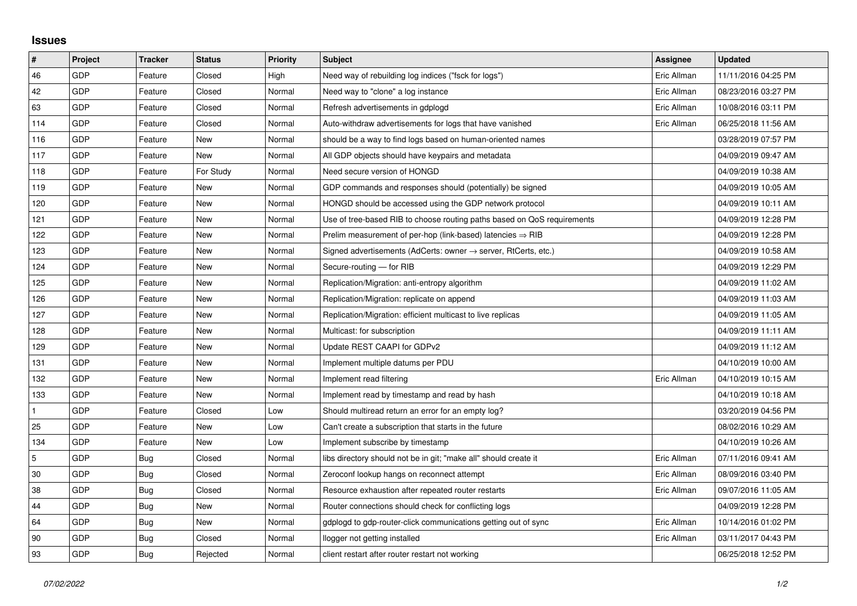## **Issues**

| $\vert$ #      | Project    | <b>Tracker</b> | <b>Status</b> | <b>Priority</b> | <b>Subject</b>                                                             | <b>Assignee</b> | <b>Updated</b>      |
|----------------|------------|----------------|---------------|-----------------|----------------------------------------------------------------------------|-----------------|---------------------|
| 46             | GDP        | Feature        | Closed        | High            | Need way of rebuilding log indices ("fsck for logs")                       | Eric Allman     | 11/11/2016 04:25 PM |
| 42             | GDP        | Feature        | Closed        | Normal          | Need way to "clone" a log instance                                         | Eric Allman     | 08/23/2016 03:27 PM |
| 63             | <b>GDP</b> | Feature        | Closed        | Normal          | Refresh advertisements in gdplogd                                          | Eric Allman     | 10/08/2016 03:11 PM |
| 114            | GDP        | Feature        | Closed        | Normal          | Auto-withdraw advertisements for logs that have vanished                   | Eric Allman     | 06/25/2018 11:56 AM |
| 116            | GDP        | Feature        | New           | Normal          | should be a way to find logs based on human-oriented names                 |                 | 03/28/2019 07:57 PM |
| 117            | GDP        | Feature        | New           | Normal          | All GDP objects should have keypairs and metadata                          |                 | 04/09/2019 09:47 AM |
| 118            | GDP        | Feature        | For Study     | Normal          | Need secure version of HONGD                                               |                 | 04/09/2019 10:38 AM |
| 119            | GDP        | Feature        | New           | Normal          | GDP commands and responses should (potentially) be signed                  |                 | 04/09/2019 10:05 AM |
| 120            | GDP        | Feature        | New           | Normal          | HONGD should be accessed using the GDP network protocol                    |                 | 04/09/2019 10:11 AM |
| 121            | GDP        | Feature        | New           | Normal          | Use of tree-based RIB to choose routing paths based on QoS requirements    |                 | 04/09/2019 12:28 PM |
| 122            | GDP        | Feature        | New           | Normal          | Prelim measurement of per-hop (link-based) latencies $\Rightarrow$ RIB     |                 | 04/09/2019 12:28 PM |
| 123            | <b>GDP</b> | Feature        | New           | Normal          | Signed advertisements (AdCerts: owner $\rightarrow$ server, RtCerts, etc.) |                 | 04/09/2019 10:58 AM |
| 124            | GDP        | Feature        | <b>New</b>    | Normal          | Secure-routing - for RIB                                                   |                 | 04/09/2019 12:29 PM |
| 125            | GDP        | Feature        | New           | Normal          | Replication/Migration: anti-entropy algorithm                              |                 | 04/09/2019 11:02 AM |
| 126            | GDP        | Feature        | New           | Normal          | Replication/Migration: replicate on append                                 |                 | 04/09/2019 11:03 AM |
| 127            | GDP        | Feature        | New           | Normal          | Replication/Migration: efficient multicast to live replicas                |                 | 04/09/2019 11:05 AM |
| 128            | GDP        | Feature        | New           | Normal          | Multicast: for subscription                                                |                 | 04/09/2019 11:11 AM |
| 129            | GDP        | Feature        | New           | Normal          | Update REST CAAPI for GDPv2                                                |                 | 04/09/2019 11:12 AM |
| 131            | GDP        | Feature        | New           | Normal          | Implement multiple datums per PDU                                          |                 | 04/10/2019 10:00 AM |
| 132            | GDP        | Feature        | New           | Normal          | Implement read filtering                                                   | Eric Allman     | 04/10/2019 10:15 AM |
| 133            | GDP        | Feature        | New           | Normal          | Implement read by timestamp and read by hash                               |                 | 04/10/2019 10:18 AM |
| $\mathbf{1}$   | GDP        | Feature        | Closed        | Low             | Should multiread return an error for an empty log?                         |                 | 03/20/2019 04:56 PM |
| 25             | GDP        | Feature        | New           | Low             | Can't create a subscription that starts in the future                      |                 | 08/02/2016 10:29 AM |
| 134            | GDP        | Feature        | New           | Low             | Implement subscribe by timestamp                                           |                 | 04/10/2019 10:26 AM |
| $\overline{5}$ | GDP        | Bug            | Closed        | Normal          | libs directory should not be in git; "make all" should create it           | Eric Allman     | 07/11/2016 09:41 AM |
| 30             | GDP        | Bug            | Closed        | Normal          | Zeroconf lookup hangs on reconnect attempt                                 | Eric Allman     | 08/09/2016 03:40 PM |
| 38             | GDP        | <b>Bug</b>     | Closed        | Normal          | Resource exhaustion after repeated router restarts                         | Eric Allman     | 09/07/2016 11:05 AM |
| 44             | GDP        | Bug            | New           | Normal          | Router connections should check for conflicting logs                       |                 | 04/09/2019 12:28 PM |
| 64             | GDP        | Bug            | New           | Normal          | gdplogd to gdp-router-click communications getting out of sync             | Eric Allman     | 10/14/2016 01:02 PM |
| 90             | GDP        | Bug            | Closed        | Normal          | llogger not getting installed                                              | Eric Allman     | 03/11/2017 04:43 PM |
| 93             | GDP        | Bug            | Rejected      | Normal          | client restart after router restart not working                            |                 | 06/25/2018 12:52 PM |